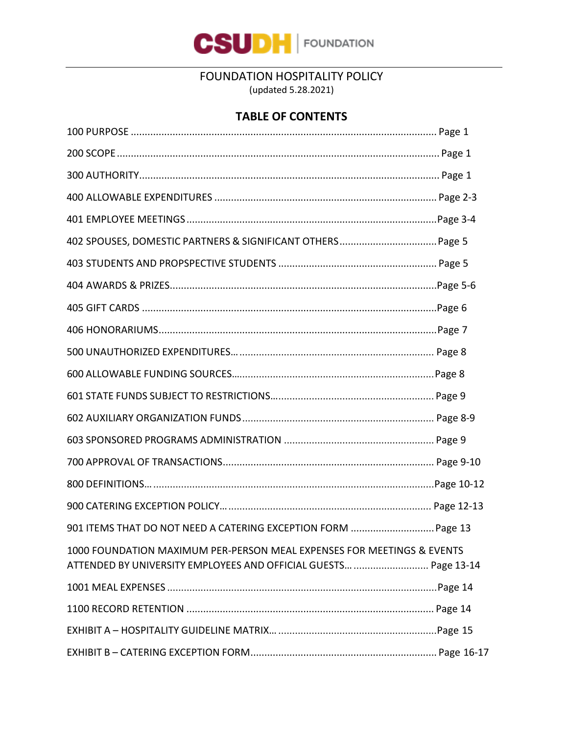

FOUNDATION HOSPITALITY POLICY

(updated 5.28.2021)

## **TABLE OF CONTENTS**

| 1000 FOUNDATION MAXIMUM PER-PERSON MEAL EXPENSES FOR MEETINGS & EVENTS<br>ATTENDED BY UNIVERSITY EMPLOYEES AND OFFICIAL GUESTS  Page 13-14 |  |
|--------------------------------------------------------------------------------------------------------------------------------------------|--|
|                                                                                                                                            |  |
|                                                                                                                                            |  |
|                                                                                                                                            |  |
|                                                                                                                                            |  |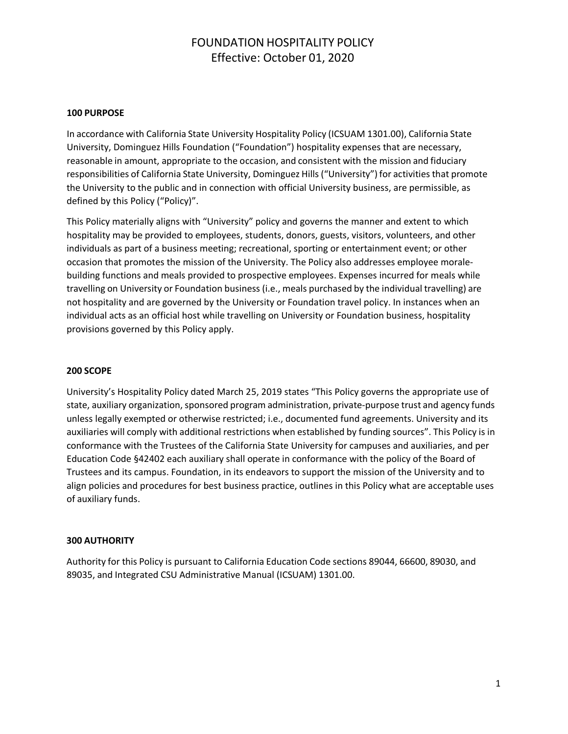#### **100 PURPOSE**

In accordance with California State University Hospitality Policy (ICSUAM 1301.00), California State University, Dominguez Hills Foundation ("Foundation") hospitality expenses that are necessary, reasonable in amount, appropriate to the occasion, and consistent with the mission and fiduciary responsibilities of California State University, Dominguez Hills ("University") for activities that promote the University to the public and in connection with official University business, are permissible, as defined by this Policy ("Policy)".

This Policy materially aligns with "University" policy and governs the manner and extent to which hospitality may be provided to employees, students, donors, guests, visitors, volunteers, and other individuals as part of a business meeting; recreational, sporting or entertainment event; or other occasion that promotes the mission of the University. The Policy also addresses employee moralebuilding functions and meals provided to prospective employees. Expenses incurred for meals while travelling on University or Foundation business (i.e., meals purchased by the individual travelling) are not hospitality and are governed by the University or Foundation travel policy. In instances when an individual acts as an official host while travelling on University or Foundation business, hospitality provisions governed by this Policy apply.

#### **200 SCOPE**

University's Hospitality Policy dated March 25, 2019 states "This Policy governs the appropriate use of state, auxiliary organization, sponsored program administration, private-purpose trust and agency funds unless legally exempted or otherwise restricted; i.e., documented fund agreements. University and its auxiliaries will comply with additional restrictions when established by funding sources". This Policy is in conformance with the Trustees of the California State University for campuses and auxiliaries, and per Education Code §42402 each auxiliary shall operate in conformance with the policy of the Board of Trustees and its campus. Foundation, in its endeavors to support the mission of the University and to align policies and procedures for best business practice, outlines in this Policy what are acceptable uses of auxiliary funds.

#### **300 AUTHORITY**

Authority for this Policy is pursuant to California Education Code sections 89044, 66600, 89030, and 89035, and Integrated CSU Administrative Manual (ICSUAM) 1301.00.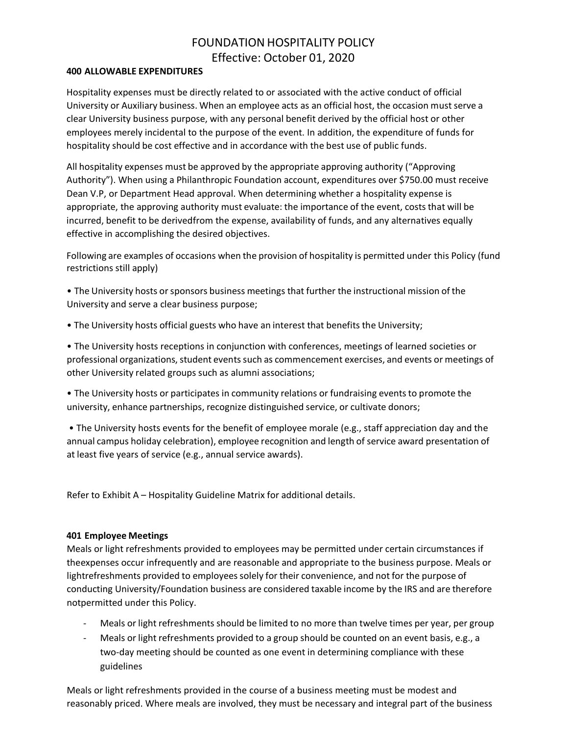#### **400 ALLOWABLE EXPENDITURES**

Hospitality expenses must be directly related to or associated with the active conduct of official University or Auxiliary business. When an employee acts as an official host, the occasion mustserve a clear University business purpose, with any personal benefit derived by the official host or other employees merely incidental to the purpose of the event. In addition, the expenditure of funds for hospitality should be cost effective and in accordance with the best use of public funds.

All hospitality expenses must be approved by the appropriate approving authority ("Approving Authority"). When using a Philanthropic Foundation account, expenditures over \$750.00 must receive Dean V.P, or Department Head approval. When determining whether a hospitality expense is appropriate, the approving authority must evaluate: the importance of the event, costs that will be incurred, benefit to be derivedfrom the expense, availability of funds, and any alternatives equally effective in accomplishing the desired objectives.

Following are examples of occasions when the provision of hospitality is permitted under this Policy (fund restrictions still apply)

• The University hosts or sponsors business meetings that further the instructional mission of the University and serve a clear business purpose;

• The University hosts official guests who have an interest that benefits the University;

• The University hosts receptions in conjunction with conferences, meetings of learned societies or professional organizations, student events such as commencement exercises, and events or meetings of other University related groups such as alumni associations;

• The University hosts or participates in community relations or fundraising events to promote the university, enhance partnerships, recognize distinguished service, or cultivate donors;

• The University hosts events for the benefit of employee morale (e.g., staff appreciation day and the annual campus holiday celebration), employee recognition and length of service award presentation of at least five years of service (e.g., annual service awards).

Refer to Exhibit A – Hospitality Guideline Matrix for additional details.

#### **401 Employee Meetings**

Meals or light refreshments provided to employees may be permitted under certain circumstances if theexpenses occur infrequently and are reasonable and appropriate to the business purpose. Meals or lightrefreshments provided to employeessolely for their convenience, and not for the purpose of conducting University/Foundation business are considered taxable income by the IRS and are therefore notpermitted under this Policy.

- Meals or light refreshments should be limited to no more than twelve times per year, per group
- Meals or light refreshments provided to a group should be counted on an event basis, e.g., a two-day meeting should be counted as one event in determining compliance with these guidelines

Meals or light refreshments provided in the course of a business meeting must be modest and reasonably priced. Where meals are involved, they must be necessary and integral part of the business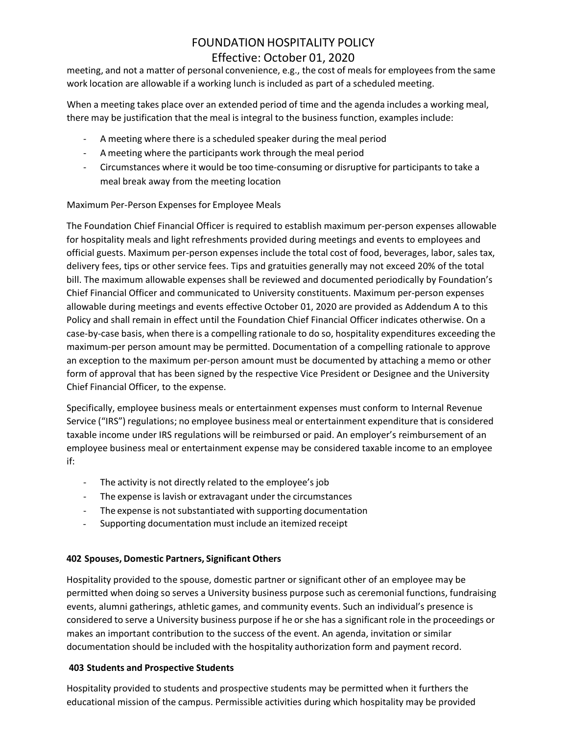meeting, and not a matter of personal convenience, e.g., the cost of meals for employeesfrom the same work location are allowable if a working lunch is included as part of a scheduled meeting.

When a meeting takes place over an extended period of time and the agenda includes a working meal, there may be justification that the meal is integral to the business function, examples include:

- A meeting where there is a scheduled speaker during the meal period
- A meeting where the participants work through the meal period
- Circumstances where it would be too time-consuming or disruptive for participants to take a meal break away from the meeting location

## Maximum Per-Person Expenses for Employee Meals

The Foundation Chief Financial Officer is required to establish maximum per-person expenses allowable for hospitality meals and light refreshments provided during meetings and events to employees and official guests. Maximum per-person expenses include the total cost of food, beverages, labor, sales tax, delivery fees, tips or other service fees. Tips and gratuities generally may not exceed 20% of the total bill. The maximum allowable expenses shall be reviewed and documented periodically by Foundation's Chief Financial Officer and communicated to University constituents. Maximum per-person expenses allowable during meetings and events effective October 01, 2020 are provided as Addendum A to this Policy and shall remain in effect until the Foundation Chief Financial Officer indicates otherwise. On a case-by-case basis, when there is a compelling rationale to do so, hospitality expenditures exceeding the maximum-per person amount may be permitted. Documentation of a compelling rationale to approve an exception to the maximum per-person amount must be documented by attaching a memo or other form of approval that has been signed by the respective Vice President or Designee and the University Chief Financial Officer, to the expense.

Specifically, employee business meals or entertainment expenses must conform to Internal Revenue Service ("IRS") regulations; no employee business meal or entertainment expenditure that is considered taxable income under IRS regulations will be reimbursed or paid. An employer's reimbursement of an employee business meal or entertainment expense may be considered taxable income to an employee if:

- The activity is not directly related to the employee's job
- The expense is lavish or extravagant under the circumstances
- The expense is not substantiated with supporting documentation
- Supporting documentation must include an itemized receipt

#### **402 Spouses, Domestic Partners, Significant Others**

Hospitality provided to the spouse, domestic partner or significant other of an employee may be permitted when doing so serves a University business purpose such as ceremonial functions, fundraising events, alumni gatherings, athletic games, and community events. Such an individual's presence is considered to serve a University business purpose if he or she has a significantrole in the proceedings or makes an important contribution to the success of the event. An agenda, invitation or similar documentation should be included with the hospitality authorization form and payment record.

#### **403 Students and Prospective Students**

Hospitality provided to students and prospective students may be permitted when it furthers the educational mission of the campus. Permissible activities during which hospitality may be provided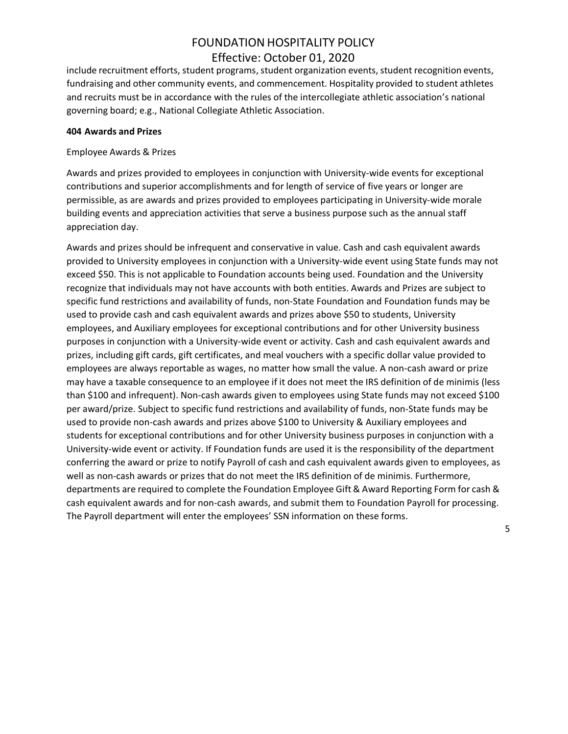include recruitment efforts, student programs, student organization events, student recognition events, fundraising and other community events, and commencement. Hospitality provided to student athletes and recruits must be in accordance with the rules of the intercollegiate athletic association's national governing board; e.g., National Collegiate Athletic Association.

#### **404 Awards and Prizes**

#### Employee Awards & Prizes

Awards and prizes provided to employees in conjunction with University-wide events for exceptional contributions and superior accomplishments and for length of service of five years or longer are permissible, as are awards and prizes provided to employees participating in University-wide morale building events and appreciation activities that serve a business purpose such as the annual staff appreciation day.

Awards and prizes should be infrequent and conservative in value. Cash and cash equivalent awards provided to University employees in conjunction with a University-wide event using State funds may not exceed \$50. This is not applicable to Foundation accounts being used. Foundation and the University recognize that individuals may not have accounts with both entities. Awards and Prizes are subject to specific fund restrictions and availability of funds, non-State Foundation and Foundation funds may be used to provide cash and cash equivalent awards and prizes above \$50 to students, University employees, and Auxiliary employees for exceptional contributions and for other University business purposes in conjunction with a University-wide event or activity. Cash and cash equivalent awards and prizes, including gift cards, gift certificates, and meal vouchers with a specific dollar value provided to employees are always reportable as wages, no matter how small the value. A non-cash award or prize may have a taxable consequence to an employee if it does not meet the IRS definition of de minimis (less than \$100 and infrequent). Non-cash awards given to employees using State funds may not exceed \$100 per award/prize. Subject to specific fund restrictions and availability of funds, non-State funds may be used to provide non-cash awards and prizes above \$100 to University & Auxiliary employees and students for exceptional contributions and for other University business purposes in conjunction with a University-wide event or activity. If Foundation funds are used it is the responsibility of the department conferring the award or prize to notify Payroll of cash and cash equivalent awards given to employees, as well as non-cash awards or prizes that do not meet the IRS definition of de minimis. Furthermore, departments are required to complete the Foundation Employee Gift & Award Reporting Form for cash & cash equivalent awards and for non-cash awards, and submit them to Foundation Payroll for processing. The Payroll department will enter the employees' SSN information on these forms.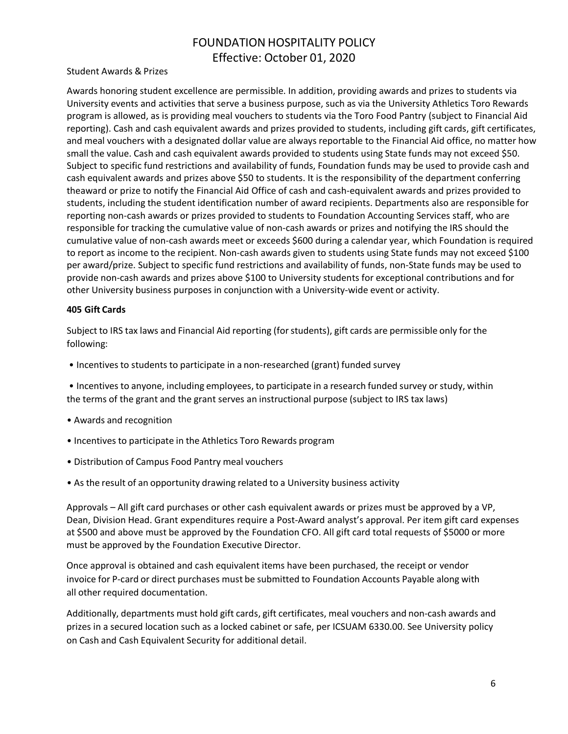### Student Awards & Prizes

Awards honoring student excellence are permissible. In addition, providing awards and prizes to students via University events and activities that serve a business purpose, such as via the University Athletics Toro Rewards program is allowed, as is providing meal vouchers to students via the Toro Food Pantry (subject to Financial Aid reporting). Cash and cash equivalent awards and prizes provided to students, including gift cards, gift certificates, and meal vouchers with a designated dollar value are always reportable to the Financial Aid office, no matter how small the value. Cash and cash equivalent awards provided to students using State funds may not exceed \$50. Subject to specific fund restrictions and availability of funds, Foundation funds may be used to provide cash and cash equivalent awards and prizes above \$50 to students. It is the responsibility of the department conferring theaward or prize to notify the Financial Aid Office of cash and cash-equivalent awards and prizes provided to students, including the student identification number of award recipients. Departments also are responsible for reporting non-cash awards or prizes provided to students to Foundation Accounting Services staff, who are responsible for tracking the cumulative value of non-cash awards or prizes and notifying the IRS should the cumulative value of non-cash awards meet or exceeds \$600 during a calendar year, which Foundation is required to report as income to the recipient. Non-cash awards given to students using State funds may not exceed \$100 per award/prize. Subject to specific fund restrictions and availability of funds, non-State funds may be used to provide non-cash awards and prizes above \$100 to University students for exceptional contributions and for other University business purposes in conjunction with a University-wide event or activity.

#### **405 Gift Cards**

Subject to IRS tax laws and Financial Aid reporting (for students), gift cards are permissible only for the following:

- Incentives to students to participate in a non-researched (grant) funded survey
- Incentives to anyone, including employees, to participate in a research funded survey or study, within the terms of the grant and the grant serves an instructional purpose (subject to IRS tax laws)
- Awards and recognition
- Incentives to participate in the Athletics Toro Rewards program
- Distribution of Campus Food Pantry meal vouchers
- As the result of an opportunity drawing related to a University business activity

Approvals – All gift card purchases or other cash equivalent awards or prizes must be approved by a VP, Dean, Division Head. Grant expenditures require a Post-Award analyst's approval. Per item gift card expenses at \$500 and above must be approved by the Foundation CFO. All gift card total requests of \$5000 or more must be approved by the Foundation Executive Director.

Once approval is obtained and cash equivalent items have been purchased, the receipt or vendor invoice for P-card or direct purchases must be submitted to Foundation Accounts Payable along with all other required documentation.

Additionally, departments must hold gift cards, gift certificates, meal vouchers and non-cash awards and prizes in a secured location such as a locked cabinet or safe, per ICSUAM 6330.00. See University policy on Cash and Cash Equivalent Security for additional detail.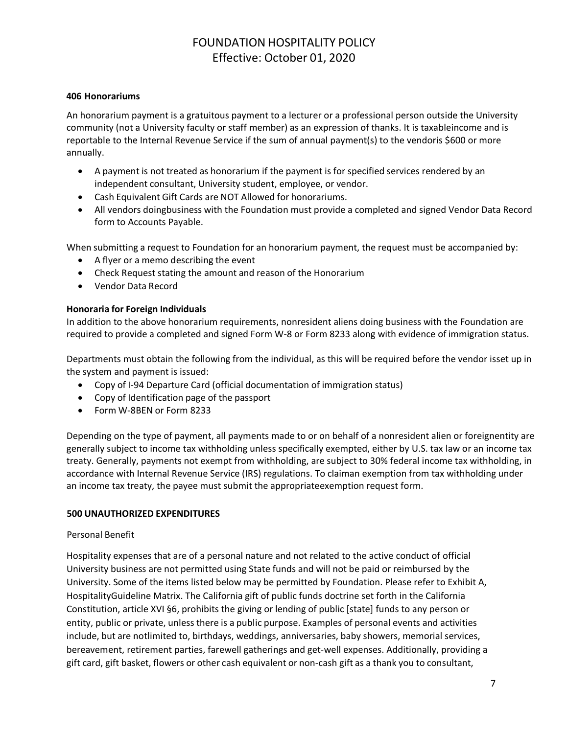### **406 Honorariums**

An honorarium payment is a gratuitous payment to a lecturer or a professional person outside the University community (not a University faculty or staff member) as an expression of thanks. It is taxableincome and is reportable to the Internal Revenue Service if the sum of annual payment(s) to the vendoris \$600 or more annually.

- A payment is not treated as honorarium if the payment is for specified services rendered by an independent consultant, University student, employee, or vendor.
- Cash Equivalent Gift Cards are NOT Allowed for honorariums.
- All vendors doingbusiness with the Foundation must provide a completed and signed Vendor Data Record form to Accounts Payable.

When submitting a request to Foundation for an honorarium payment, the request must be accompanied by:

- A flyer or a memo describing the event
- Check Request stating the amount and reason of the Honorarium
- Vendor Data Record

### **Honoraria for Foreign Individuals**

In addition to the above honorarium requirements, nonresident aliens doing business with the Foundation are required to provide a completed and signed Form W-8 or Form 8233 along with evidence of immigration status.

Departments must obtain the following from the individual, as this will be required before the vendor isset up in the system and payment is issued:

- Copy of I-94 Departure Card (official documentation of immigration status)
- Copy of Identification page of the passport
- Form W-8BEN or Form 8233

Depending on the type of payment, all payments made to or on behalf of a nonresident alien or foreignentity are generally subject to income tax withholding unless specifically exempted, either by U.S. tax law or an income tax treaty. Generally, payments not exempt from withholding, are subject to 30% federal income tax withholding, in accordance with Internal Revenue Service (IRS) regulations. To claiman exemption from tax withholding under an income tax treaty, the payee must submit the appropriateexemption request form.

#### **500 UNAUTHORIZED EXPENDITURES**

#### Personal Benefit

Hospitality expenses that are of a personal nature and not related to the active conduct of official University business are not permitted using State funds and will not be paid or reimbursed by the University. Some of the items listed below may be permitted by Foundation. Please refer to Exhibit A, HospitalityGuideline Matrix. The California gift of public funds doctrine set forth in the California Constitution, article XVI §6, prohibits the giving or lending of public [state] funds to any person or entity, public or private, unless there is a public purpose. Examples of personal events and activities include, but are notlimited to, birthdays, weddings, anniversaries, baby showers, memorial services, bereavement, retirement parties, farewell gatherings and get-well expenses. Additionally, providing a gift card, gift basket, flowers or other cash equivalent or non-cash gift as a thank you to consultant,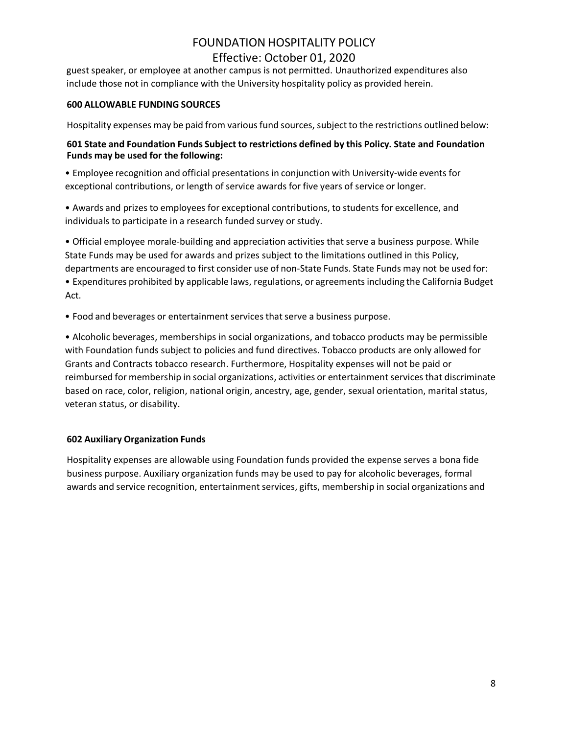guest speaker, or employee at another campus is not permitted. Unauthorized expenditures also include those not in compliance with the University hospitality policy as provided herein.

### **600 ALLOWABLE FUNDING SOURCES**

Hospitality expenses may be paid from various fund sources, subject to the restrictions outlined below:

## **601 State and Foundation Funds Subject to restrictions defined by this Policy. State and Foundation Funds may be used for the following:**

• Employee recognition and official presentations in conjunction with University-wide events for exceptional contributions, or length of service awards for five years of service or longer.

• Awards and prizes to employees for exceptional contributions, to students for excellence, and individuals to participate in a research funded survey or study.

• Official employee morale-building and appreciation activities that serve a business purpose. While State Funds may be used for awards and prizes subject to the limitations outlined in this Policy, departments are encouraged to first consider use of non-State Funds. State Funds may not be used for:

• Expenditures prohibited by applicable laws, regulations, or agreementsincluding the California Budget Act.

• Food and beverages or entertainment services that serve a business purpose.

• Alcoholic beverages, memberships in social organizations, and tobacco products may be permissible with Foundation funds subject to policies and fund directives. Tobacco products are only allowed for Grants and Contracts tobacco research. Furthermore, Hospitality expenses will not be paid or reimbursed for membership in social organizations, activities or entertainment services that discriminate based on race, color, religion, national origin, ancestry, age, gender, sexual orientation, marital status, veteran status, or disability.

## **602 Auxiliary Organization Funds**

Hospitality expenses are allowable using Foundation funds provided the expense serves a bona fide business purpose. Auxiliary organization funds may be used to pay for alcoholic beverages, formal awards and service recognition, entertainment services, gifts, membership in social organizations and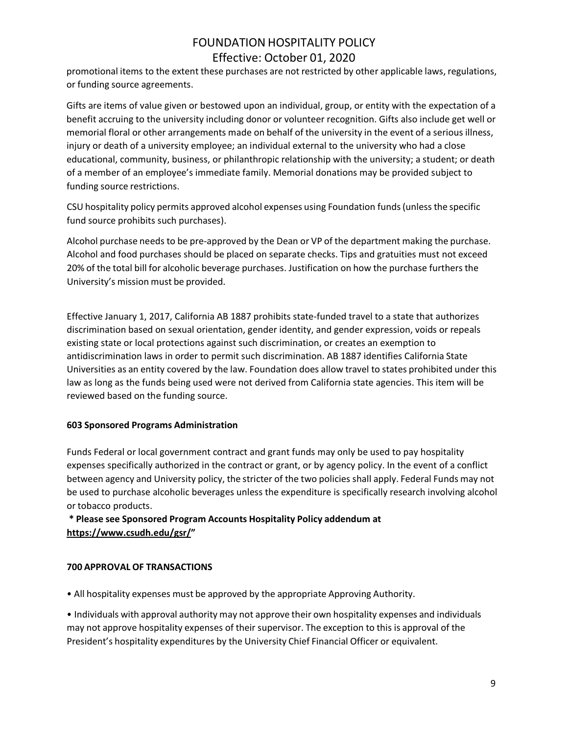promotional items to the extent these purchases are not restricted by other applicable laws, regulations, or funding source agreements.

Gifts are items of value given or bestowed upon an individual, group, or entity with the expectation of a benefit accruing to the university including donor or volunteer recognition. Gifts also include get well or memorial floral or other arrangements made on behalf of the university in the event of a serious illness, injury or death of a university employee; an individual external to the university who had a close educational, community, business, or philanthropic relationship with the university; a student; or death of a member of an employee's immediate family. Memorial donations may be provided subject to funding source restrictions.

CSU hospitality policy permits approved alcohol expenses using Foundation funds(unlessthe specific fund source prohibits such purchases).

Alcohol purchase needs to be pre-approved by the Dean or VP of the department making the purchase. Alcohol and food purchases should be placed on separate checks. Tips and gratuities must not exceed 20% of the total bill for alcoholic beverage purchases. Justification on how the purchase furthers the University's mission must be provided.

Effective January 1, 2017, California AB 1887 prohibits state-funded travel to a state that authorizes discrimination based on sexual orientation, gender identity, and gender expression, voids or repeals existing state or local protections against such discrimination, or creates an exemption to antidiscrimination laws in order to permit such discrimination. AB 1887 identifies California State Universities as an entity covered by the law. Foundation does allow travel to states prohibited under this law as long as the funds being used were not derived from California state agencies. This item will be reviewed based on the funding source.

## **603 Sponsored Programs Administration**

Funds Federal or local government contract and grant funds may only be used to pay hospitality expenses specifically authorized in the contract or grant, or by agency policy. In the event of a conflict between agency and University policy, the stricter of the two policies shall apply. Federal Funds may not be used to purchase alcoholic beverages unless the expenditure is specifically research involving alcohol or tobacco products.

## **\* Please see Sponsored Program Accounts Hospitality Policy addendum at [https://www.csudh.edu/gsr/"](https://www.csudh.edu/gsr/)**

#### **700 APPROVAL OF TRANSACTIONS**

• All hospitality expenses must be approved by the appropriate Approving Authority.

• Individuals with approval authority may not approve their own hospitality expenses and individuals may not approve hospitality expenses of their supervisor. The exception to this is approval of the President's hospitality expenditures by the University Chief Financial Officer or equivalent.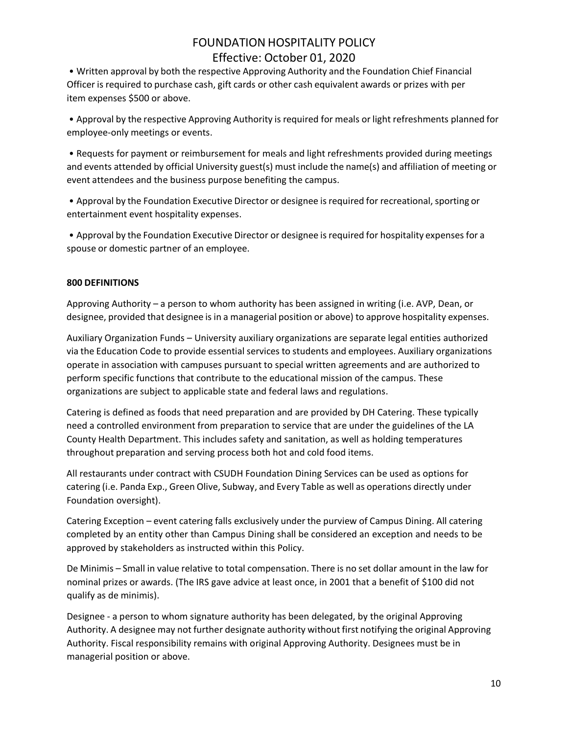• Written approval by both the respective Approving Authority and the Foundation Chief Financial Officer is required to purchase cash, gift cards or other cash equivalent awards or prizes with per item expenses \$500 or above.

• Approval by the respective Approving Authority is required for meals or light refreshments planned for employee-only meetings or events.

• Requests for payment or reimbursement for meals and light refreshments provided during meetings and events attended by official University guest(s) must include the name(s) and affiliation of meeting or event attendees and the business purpose benefiting the campus.

• Approval by the Foundation Executive Director or designee is required for recreational, sporting or entertainment event hospitality expenses.

• Approval by the Foundation Executive Director or designee isrequired for hospitality expensesfor a spouse or domestic partner of an employee.

### **800 DEFINITIONS**

Approving Authority – a person to whom authority has been assigned in writing (i.e. AVP, Dean, or designee, provided that designee is in a managerial position or above) to approve hospitality expenses.

Auxiliary Organization Funds – University auxiliary organizations are separate legal entities authorized via the Education Code to provide essential services to students and employees. Auxiliary organizations operate in association with campuses pursuant to special written agreements and are authorized to perform specific functions that contribute to the educational mission of the campus. These organizations are subject to applicable state and federal laws and regulations.

Catering is defined as foods that need preparation and are provided by DH Catering. These typically need a controlled environment from preparation to service that are under the guidelines of the LA County Health Department. This includes safety and sanitation, as well as holding temperatures throughout preparation and serving process both hot and cold food items.

All restaurants under contract with CSUDH Foundation Dining Services can be used as options for catering (i.e. Panda Exp., Green Olive, Subway, and Every Table as well as operations directly under Foundation oversight).

Catering Exception – event catering falls exclusively under the purview of Campus Dining. All catering completed by an entity other than Campus Dining shall be considered an exception and needs to be approved by stakeholders as instructed within this Policy.

De Minimis – Small in value relative to total compensation. There is no set dollar amount in the law for nominal prizes or awards. (The IRS gave advice at least once, in 2001 that a benefit of \$100 did not qualify as de minimis).

Designee - a person to whom signature authority has been delegated, by the original Approving Authority. A designee may not further designate authority without first notifying the original Approving Authority. Fiscal responsibility remains with original Approving Authority. Designees must be in managerial position or above.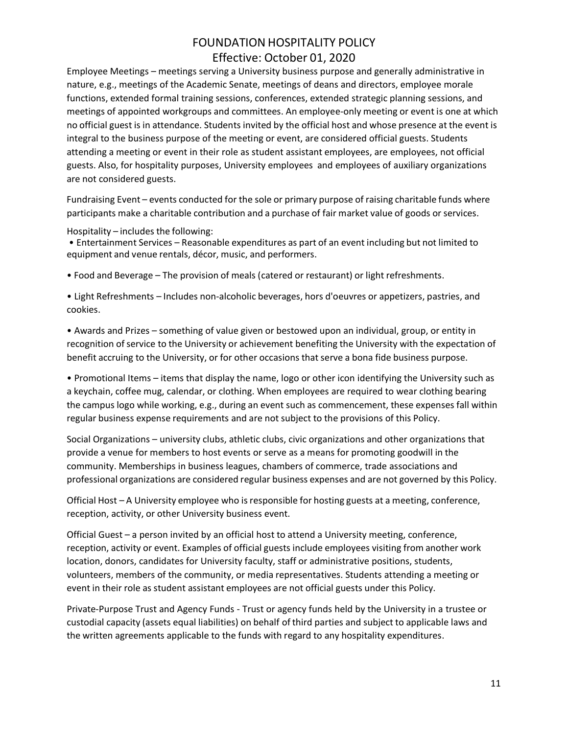Employee Meetings – meetings serving a University business purpose and generally administrative in nature, e.g., meetings of the Academic Senate, meetings of deans and directors, employee morale functions, extended formal training sessions, conferences, extended strategic planning sessions, and meetings of appointed workgroups and committees. An employee-only meeting or event is one at which no official guest is in attendance. Students invited by the official host and whose presence at the event is integral to the business purpose of the meeting or event, are considered official guests. Students attending a meeting or event in their role as student assistant employees, are employees, not official guests. Also, for hospitality purposes, University employees and employees of auxiliary organizations are not considered guests.

Fundraising Event – events conducted for the sole or primary purpose of raising charitable funds where participants make a charitable contribution and a purchase of fair market value of goods or services.

#### Hospitality – includes the following:

• Entertainment Services – Reasonable expenditures as part of an event including but not limited to equipment and venue rentals, décor, music, and performers.

• Food and Beverage – The provision of meals (catered or restaurant) or light refreshments.

• Light Refreshments – Includes non-alcoholic beverages, hors d'oeuvres or appetizers, pastries, and cookies.

• Awards and Prizes – something of value given or bestowed upon an individual, group, or entity in recognition of service to the University or achievement benefiting the University with the expectation of benefit accruing to the University, or for other occasions that serve a bona fide business purpose.

• Promotional Items – items that display the name, logo or other icon identifying the University such as a keychain, coffee mug, calendar, or clothing. When employees are required to wear clothing bearing the campus logo while working, e.g., during an event such as commencement, these expenses fall within regular business expense requirements and are not subject to the provisions of this Policy.

Social Organizations – university clubs, athletic clubs, civic organizations and other organizations that provide a venue for members to host events or serve as a means for promoting goodwill in the community. Memberships in business leagues, chambers of commerce, trade associations and professional organizations are considered regular business expenses and are not governed by this Policy.

Official Host – A University employee who is responsible for hosting guests at a meeting, conference, reception, activity, or other University business event.

Official Guest – a person invited by an official host to attend a University meeting, conference, reception, activity or event. Examples of official guests include employees visiting from another work location, donors, candidates for University faculty, staff or administrative positions, students, volunteers, members of the community, or media representatives. Students attending a meeting or event in their role as student assistant employees are not official guests under this Policy.

Private-Purpose Trust and Agency Funds - Trust or agency funds held by the University in a trustee or custodial capacity (assets equal liabilities) on behalf of third parties and subject to applicable laws and the written agreements applicable to the funds with regard to any hospitality expenditures.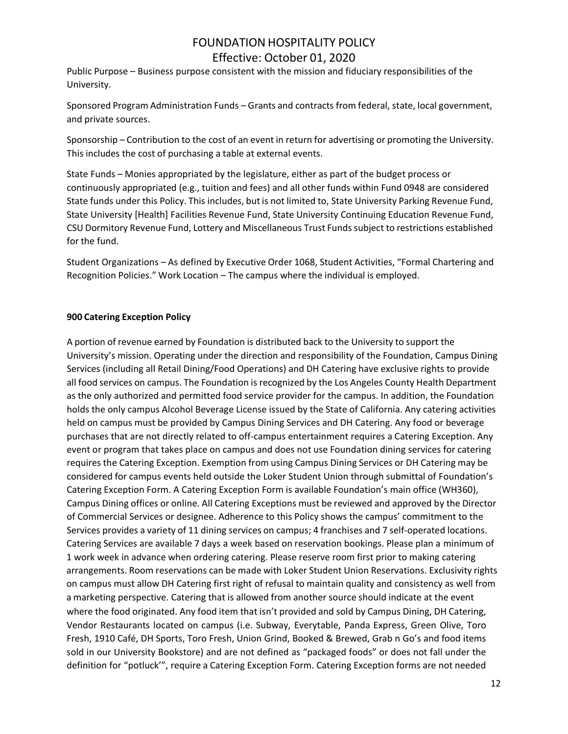Public Purpose – Business purpose consistent with the mission and fiduciary responsibilities of the University.

Sponsored Program Administration Funds – Grants and contracts from federal, state, local government, and private sources.

Sponsorship – Contribution to the cost of an event in return for advertising or promoting the University. This includes the cost of purchasing a table at external events.

State Funds – Monies appropriated by the legislature, either as part of the budget process or continuously appropriated (e.g., tuition and fees) and all other funds within Fund 0948 are considered State funds under this Policy. This includes, but is not limited to, State University Parking Revenue Fund, State University [Health] Facilities Revenue Fund, State University Continuing Education Revenue Fund, CSU Dormitory Revenue Fund, Lottery and Miscellaneous Trust Funds subject to restrictions established for the fund.

Student Organizations – As defined by Executive Order 1068, Student Activities, "Formal Chartering and Recognition Policies." Work Location – The campus where the individual is employed.

## **900 Catering Exception Policy**

Services provides a variety of 11 dining services on campus; 4 franchises and 7 self-operated locations. A portion of revenue earned by Foundation is distributed back to the University to support the University's mission. Operating under the direction and responsibility of the Foundation, Campus Dining Services (including all Retail Dining/Food Operations) and DH Catering have exclusive rights to provide all food services on campus. The Foundation is recognized by the Los Angeles County Health Department as the only authorized and permitted food service provider for the campus. In addition, the Foundation holds the only campus Alcohol Beverage License issued by the State of California. Any catering activities held on campus must be provided by Campus Dining Services and DH Catering. Any food or beverage purchases that are not directly related to off-campus entertainment requires a Catering Exception. Any event or program that takes place on campus and does not use Foundation dining services for catering requires the Catering Exception. Exemption from using Campus Dining Services or DH Catering may be considered for campus events held outside the Loker Student Union through submittal of Foundation's Catering Exception Form. A Catering Exception Form is available Foundation's main office (WH360), Campus Dining offices or online. All Catering Exceptions must be reviewed and approved by the Director of Commercial Services or designee. Adherence to this Policy shows the campus' commitment to the Catering Services are available 7 days a week based on reservation bookings. Please plan a minimum of 1 work week in advance when ordering catering. Please reserve room first prior to making catering arrangements. Room reservations can be made with Loker Student Union Reservations. Exclusivity rights on campus must allow DH Catering first right of refusal to maintain quality and consistency as well from a marketing perspective. Catering that is allowed from another source should indicate at the event where the food originated. Any food item that isn't provided and sold by Campus Dining, DH Catering, Vendor Restaurants located on campus (i.e. Subway, Everytable, Panda Express, Green Olive, Toro Fresh, 1910 Café, DH Sports, Toro Fresh, Union Grind, Booked & Brewed, Grab n Go's and food items sold in our University Bookstore) and are not defined as "packaged foods" or does not fall under the definition for "potluck'", require a Catering Exception Form. Catering Exception forms are not needed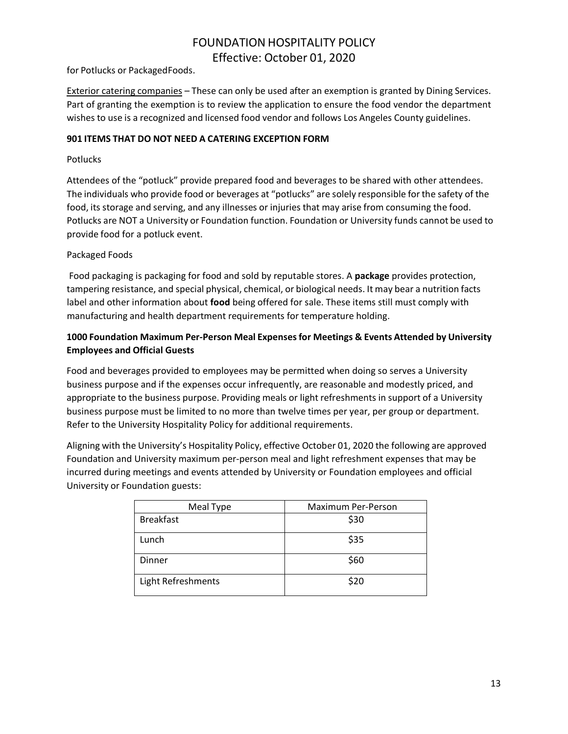for Potlucks or PackagedFoods.

Exterior catering companies – These can only be used after an exemption is granted by Dining Services. Part of granting the exemption is to review the application to ensure the food vendor the department wishes to use is a recognized and licensed food vendor and follows Los Angeles County guidelines.

### **901 ITEMS THAT DO NOT NEED A CATERING EXCEPTION FORM**

### **Potlucks**

Attendees of the "potluck" provide prepared food and beverages to be shared with other attendees. The individuals who provide food or beverages at "potlucks" are solely responsible for the safety of the food, its storage and serving, and any illnesses or injuries that may arise from consuming the food. Potlucks are NOT a University or Foundation function. Foundation or University funds cannot be used to provide food for a potluck event.

## Packaged Foods

Food packaging is packaging for food and sold by reputable stores. A **package** provides protection, tampering resistance, and special physical, chemical, or biological needs. It may bear a nutrition facts label and other information about **food** being offered for sale. These items still must comply with manufacturing and health department requirements for temperature holding.

## **1000 Foundation Maximum Per-Person Meal Expensesfor Meetings & Events Attended by University Employees and Official Guests**

Food and beverages provided to employees may be permitted when doing so serves a University business purpose and if the expenses occur infrequently, are reasonable and modestly priced, and appropriate to the business purpose. Providing meals or light refreshments in support of a University business purpose must be limited to no more than twelve times per year, per group or department. Refer to the University Hospitality Policy for additional requirements.

Aligning with the University's Hospitality Policy, effective October 01, 2020 the following are approved Foundation and University maximum per-person meal and light refreshment expenses that may be incurred during meetings and events attended by University or Foundation employees and official University or Foundation guests:

| Meal Type          | Maximum Per-Person |
|--------------------|--------------------|
| <b>Breakfast</b>   | \$30               |
| Lunch              | \$35               |
| Dinner             | \$60               |
| Light Refreshments | \$20               |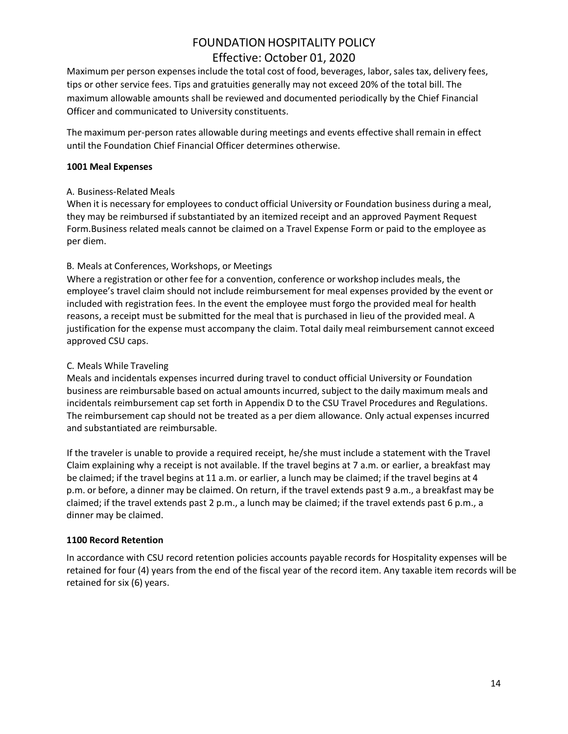Maximum per person expenses include the total cost of food, beverages, labor, sales tax, delivery fees, tips or other service fees. Tips and gratuities generally may not exceed 20% of the total bill. The maximum allowable amounts shall be reviewed and documented periodically by the Chief Financial Officer and communicated to University constituents.

The maximum per-person rates allowable during meetings and events effective shall remain in effect until the Foundation Chief Financial Officer determines otherwise.

#### **1001 Meal Expenses**

### A. Business-Related Meals

When it is necessary for employees to conduct official University or Foundation business during a meal, they may be reimbursed if substantiated by an itemized receipt and an approved Payment Request Form.Business related meals cannot be claimed on a Travel Expense Form or paid to the employee as per diem.

## B. Meals at Conferences, Workshops, or Meetings

Where a registration or other fee for a convention, conference or workshop includes meals, the employee's travel claim should not include reimbursement for meal expenses provided by the event or included with registration fees. In the event the employee must forgo the provided meal for health reasons, a receipt must be submitted for the meal that is purchased in lieu of the provided meal. A justification for the expense must accompany the claim. Total daily meal reimbursement cannot exceed approved CSU caps.

### C. Meals While Traveling

Meals and incidentals expenses incurred during travel to conduct official University or Foundation business are reimbursable based on actual amountsincurred, subject to the daily maximum meals and incidentals reimbursement cap set forth in Appendix D to the CSU Travel Procedures and Regulations. The reimbursement cap should not be treated as a per diem allowance. Only actual expenses incurred and substantiated are reimbursable.

If the traveler is unable to provide a required receipt, he/she must include a statement with the Travel Claim explaining why a receipt is not available. If the travel begins at 7 a.m. or earlier, a breakfast may be claimed; if the travel begins at 11 a.m. or earlier, a lunch may be claimed; if the travel begins at 4 p.m. or before, a dinner may be claimed. On return, if the travel extends past 9 a.m., a breakfast may be claimed; if the travel extends past 2 p.m., a lunch may be claimed; if the travel extends past 6 p.m., a dinner may be claimed.

## **1100 Record Retention**

In accordance with CSU record retention policies accounts payable records for Hospitality expenses will be retained for four (4) years from the end of the fiscal year of the record item. Any taxable item records will be retained for six (6) years.